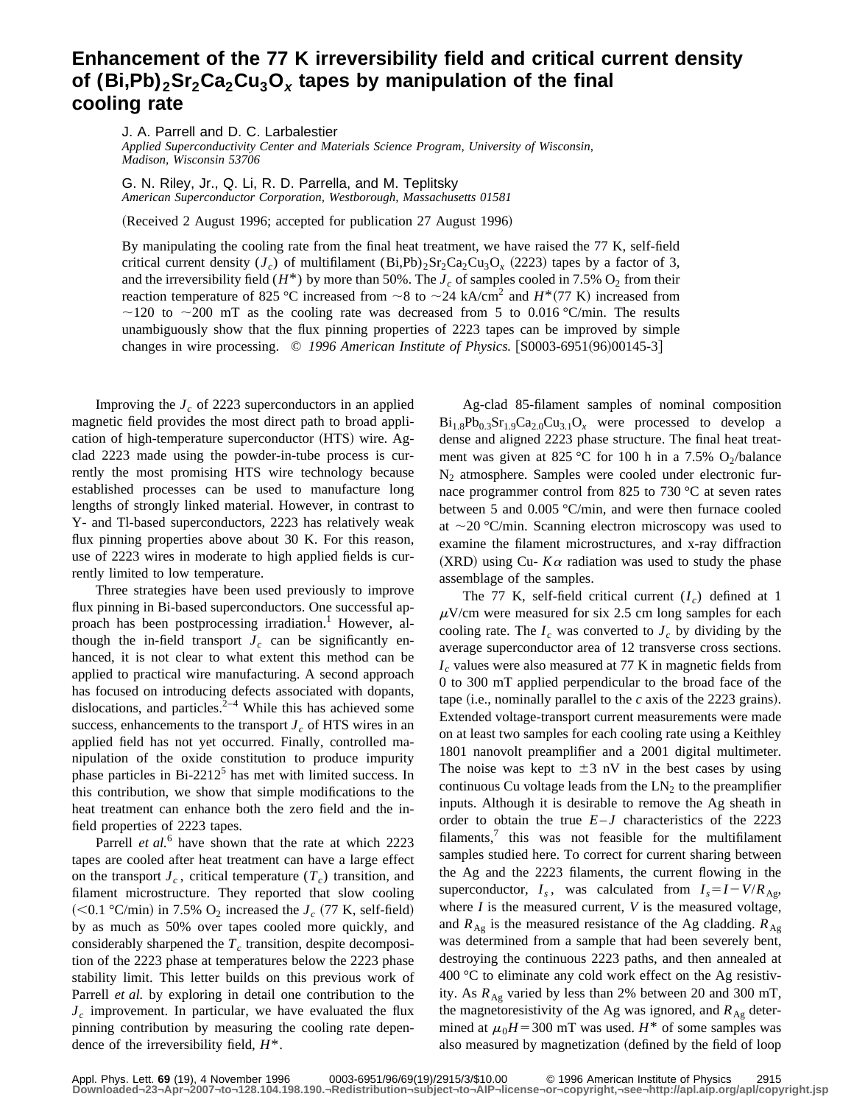## **Enhancement of the 77 K irreversibility field and critical current density** of  $(Bi, Pb)<sub>2</sub>Sr<sub>2</sub>Ca<sub>2</sub>Cu<sub>3</sub>O<sub>x</sub>$  tapes by manipulation of the final **cooling rate**

J. A. Parrell and D. C. Larbalestier

*Applied Superconductivity Center and Materials Science Program, University of Wisconsin, Madison, Wisconsin 53706*

G. N. Riley, Jr., Q. Li, R. D. Parrella, and M. Teplitsky *American Superconductor Corporation, Westborough, Massachusetts 01581*

(Received 2 August 1996; accepted for publication 27 August 1996)

By manipulating the cooling rate from the final heat treatment, we have raised the 77 K, self-field critical current density  $(J_c)$  of multifilament  $(Bi,Pb)_{2}Sr_{2}Ca_{2}Cu_{3}O_{x}$  (2223) tapes by a factor of 3, and the irreversibility field  $(H^*)$  by more than 50%. The  $J_c$  of samples cooled in 7.5% O<sub>2</sub> from their reaction temperature of 825 °C increased from  $\sim$ 8 to  $\sim$  24 kA/cm<sup>2</sup> and *H*\*(77 K) increased from  $\sim$ 120 to  $\sim$ 200 mT as the cooling rate was decreased from 5 to 0.016 °C/min. The results unambiguously show that the flux pinning properties of 2223 tapes can be improved by simple changes in wire processing. © 1996 American Institute of Physics. [S0003-6951(96)00145-3]

Improving the  $J_c$  of 2223 superconductors in an applied magnetic field provides the most direct path to broad application of high-temperature superconductor (HTS) wire. Agclad 2223 made using the powder-in-tube process is currently the most promising HTS wire technology because established processes can be used to manufacture long lengths of strongly linked material. However, in contrast to Y- and Tl-based superconductors, 2223 has relatively weak flux pinning properties above about 30 K. For this reason, use of 2223 wires in moderate to high applied fields is currently limited to low temperature.

Three strategies have been used previously to improve flux pinning in Bi-based superconductors. One successful approach has been postprocessing irradiation.<sup>1</sup> However, although the in-field transport  $J_c$  can be significantly enhanced, it is not clear to what extent this method can be applied to practical wire manufacturing. A second approach has focused on introducing defects associated with dopants, dislocations, and particles. $2^{-4}$  While this has achieved some success, enhancements to the transport  $J_c$  of HTS wires in an applied field has not yet occurred. Finally, controlled manipulation of the oxide constitution to produce impurity phase particles in Bi-2212<sup>5</sup> has met with limited success. In this contribution, we show that simple modifications to the heat treatment can enhance both the zero field and the infield properties of 2223 tapes.

Parrell *et al.*<sup>6</sup> have shown that the rate at which 2223 tapes are cooled after heat treatment can have a large effect on the transport  $J_c$ , critical temperature  $(T_c)$  transition, and filament microstructure. They reported that slow cooling  $(<0.1$  °C/min) in 7.5% O<sub>2</sub> increased the  $J_c$  (77 K, self-field) by as much as 50% over tapes cooled more quickly, and considerably sharpened the  $T_c$  transition, despite decomposition of the 2223 phase at temperatures below the 2223 phase stability limit. This letter builds on this previous work of Parrell *et al.* by exploring in detail one contribution to the  $J_c$  improvement. In particular, we have evaluated the flux pinning contribution by measuring the cooling rate dependence of the irreversibility field, *H*\*.

Ag-clad 85-filament samples of nominal composition  $Bi_{1.8}Pb_{0.3}Sr_{1.9}Ca_{2.0}Cu_{3.1}O_x$  were processed to develop a dense and aligned 2223 phase structure. The final heat treatment was given at 825 °C for 100 h in a 7.5% O<sub>2</sub>/balance N<sub>2</sub> atmosphere. Samples were cooled under electronic furnace programmer control from 825 to 730 °C at seven rates between 5 and 0.005 °C/min, and were then furnace cooled at  $\sim$ 20 °C/min. Scanning electron microscopy was used to examine the filament microstructures, and x-ray diffraction  $(XRD)$  using Cu-  $K\alpha$  radiation was used to study the phase assemblage of the samples.

The 77 K, self-field critical current  $(I_c)$  defined at 1  $\mu$ V/cm were measured for six 2.5 cm long samples for each cooling rate. The  $I_c$  was converted to  $J_c$  by dividing by the average superconductor area of 12 transverse cross sections.  $I_c$  values were also measured at 77 K in magnetic fields from 0 to 300 mT applied perpendicular to the broad face of the tape  $(i.e.,$  nominally parallel to the *c* axis of the 2223 grains). Extended voltage-transport current measurements were made on at least two samples for each cooling rate using a Keithley 1801 nanovolt preamplifier and a 2001 digital multimeter. The noise was kept to  $\pm 3$  nV in the best cases by using continuous Cu voltage leads from the  $LN<sub>2</sub>$  to the preamplifier inputs. Although it is desirable to remove the Ag sheath in order to obtain the true  $E-J$  characteristics of the 2223 filaments, $\frac{7}{1}$  this was not feasible for the multifilament samples studied here. To correct for current sharing between the Ag and the 2223 filaments, the current flowing in the superconductor,  $I_s$ , was calculated from  $I_s = I - V/R_{\text{Ag}}$ , where *I* is the measured current, *V* is the measured voltage, and  $R_{\text{Ag}}$  is the measured resistance of the Ag cladding.  $R_{\text{Ag}}$ was determined from a sample that had been severely bent, destroying the continuous 2223 paths, and then annealed at 400 °C to eliminate any cold work effect on the Ag resistivity. As  $R_{\text{A}g}$  varied by less than 2% between 20 and 300 mT, the magnetoresistivity of the Ag was ignored, and  $R_{\text{Ag}}$  determined at  $\mu_0H$ =300 mT was used. *H*<sup>\*</sup> of some samples was also measured by magnetization (defined by the field of loop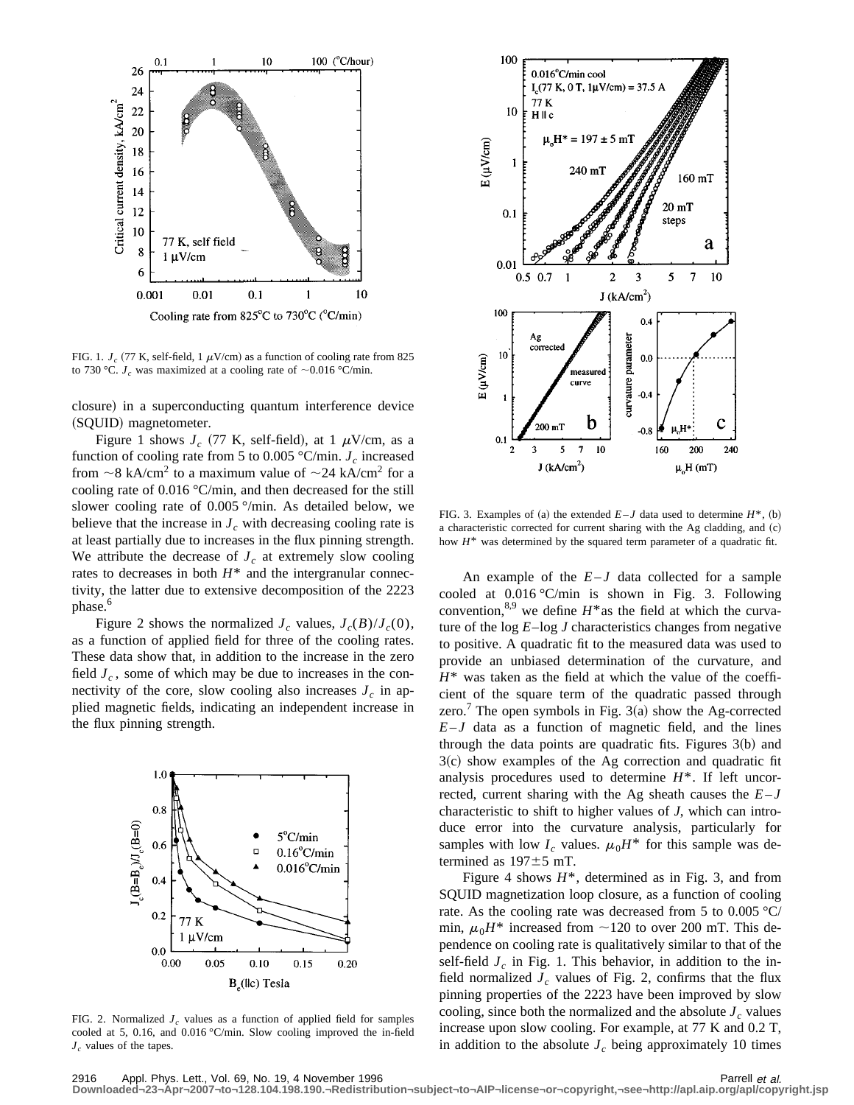

FIG. 1.  $J_c$  (77 K, self-field, 1  $\mu$ V/cm) as a function of cooling rate from 825 to 730 °C.  $J_c$  was maximized at a cooling rate of  $\sim$ 0.016 °C/min.

closure) in a superconducting quantum interference device (SQUID) magnetometer.

Figure 1 shows  $J_c$  (77 K, self-field), at 1  $\mu$ V/cm, as a function of cooling rate from 5 to 0.005  $\degree$ C/min. *J<sub>c</sub>* increased from  $\sim$ 8 kA/cm<sup>2</sup> to a maximum value of  $\sim$ 24 kA/cm<sup>2</sup> for a cooling rate of 0.016 °C/min, and then decreased for the still slower cooling rate of 0.005 °/min. As detailed below, we believe that the increase in  $J_c$  with decreasing cooling rate is at least partially due to increases in the flux pinning strength. We attribute the decrease of  $J_c$  at extremely slow cooling rates to decreases in both  $H^*$  and the intergranular connectivity, the latter due to extensive decomposition of the 2223 phase.<sup>6</sup>

Figure 2 shows the normalized  $J_c$  values,  $J_c(B)/J_c(0)$ , as a function of applied field for three of the cooling rates. These data show that, in addition to the increase in the zero field  $J_c$ , some of which may be due to increases in the connectivity of the core, slow cooling also increases  $J_c$  in applied magnetic fields, indicating an independent increase in the flux pinning strength.



FIG. 2. Normalized  $J_c$  values as a function of applied field for samples cooled at 5, 0.16, and 0.016 °C/min. Slow cooling improved the in-field *J<sub>c</sub>* values of the tapes.



FIG. 3. Examples of (a) the extended  $E-J$  data used to determine  $H^*$ , (b) a characteristic corrected for current sharing with the Ag cladding, and (c) how  $H^*$  was determined by the squared term parameter of a quadratic fit.

An example of the  $E-J$  data collected for a sample cooled at 0.016 °C/min is shown in Fig. 3. Following convention,<sup>8,9</sup> we define  $H^*$ as the field at which the curvature of the log *E*–log *J* characteristics changes from negative to positive. A quadratic fit to the measured data was used to provide an unbiased determination of the curvature, and  $H^*$  was taken as the field at which the value of the coefficient of the square term of the quadratic passed through zero.<sup>7</sup> The open symbols in Fig. 3(a) show the Ag-corrected  $E-J$  data as a function of magnetic field, and the lines through the data points are quadratic fits. Figures  $3(b)$  and  $3(c)$  show examples of the Ag correction and quadratic fit analysis procedures used to determine *H*\*. If left uncorrected, current sharing with the Ag sheath causes the  $E-J$ characteristic to shift to higher values of *J*, which can introduce error into the curvature analysis, particularly for samples with low  $I_c$  values.  $\mu_0 H^*$  for this sample was determined as  $197 \pm 5$  mT.

Figure 4 shows  $H^*$ , determined as in Fig. 3, and from SQUID magnetization loop closure, as a function of cooling rate. As the cooling rate was decreased from 5 to 0.005 °C/ min,  $\mu_0 H^*$  increased from  $\sim$ 120 to over 200 mT. This dependence on cooling rate is qualitatively similar to that of the self-field  $J_c$  in Fig. 1. This behavior, in addition to the infield normalized  $J_c$  values of Fig. 2, confirms that the flux pinning properties of the 2223 have been improved by slow cooling, since both the normalized and the absolute  $J_c$  values increase upon slow cooling. For example, at 77 K and 0.2 T, in addition to the absolute  $J_c$  being approximately 10 times